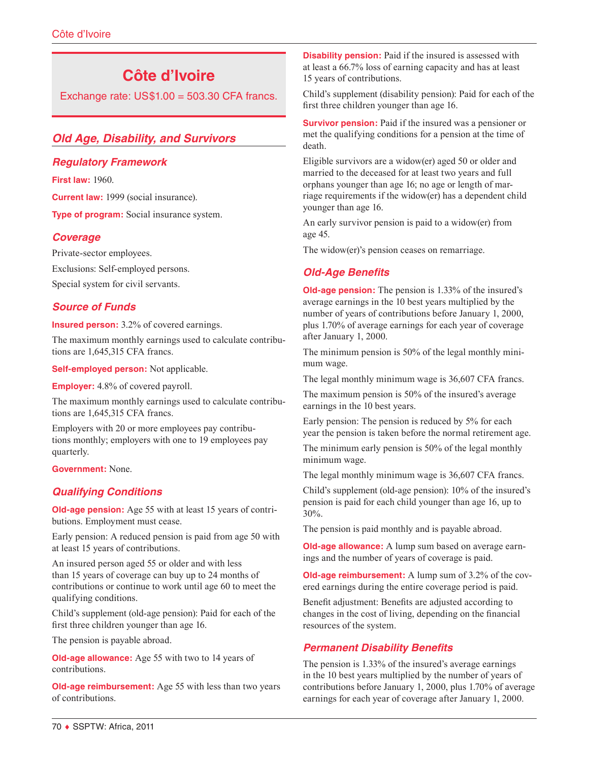# **Côte d'Ivoire**

Exchange rate:  $US$1.00 = 503.30$  CFA francs.

# *Old Age, Disability, and Survivors*

#### *Regulatory Framework*

**First law:** 1960.

**Current law:** 1999 (social insurance).

**Type of program:** Social insurance system.

### *Coverage*

Private-sector employees.

Exclusions: Self-employed persons.

Special system for civil servants.

# *Source of Funds*

**Insured person:** 3.2% of covered earnings.

The maximum monthly earnings used to calculate contributions are 1,645,315 CFA francs.

**Self-employed person:** Not applicable.

**Employer:** 4.8% of covered payroll.

The maximum monthly earnings used to calculate contributions are 1,645,315 CFA francs.

Employers with 20 or more employees pay contributions monthly; employers with one to 19 employees pay quarterly.

**Government:** None.

# *Qualifying Conditions*

**Old-age pension:** Age 55 with at least 15 years of contributions. Employment must cease.

Early pension: A reduced pension is paid from age 50 with at least 15 years of contributions.

An insured person aged 55 or older and with less than 15 years of coverage can buy up to 24 months of contributions or continue to work until age 60 to meet the qualifying conditions.

Child's supplement (old-age pension): Paid for each of the first three children younger than age 16.

The pension is payable abroad.

**Old-age allowance:** Age 55 with two to 14 years of contributions.

**Old-age reimbursement:** Age 55 with less than two years of contributions.

**Disability pension:** Paid if the insured is assessed with at least a 66.7% loss of earning capacity and has at least 15 years of contributions.

Child's supplement (disability pension): Paid for each of the first three children younger than age 16.

**Survivor pension:** Paid if the insured was a pensioner or met the qualifying conditions for a pension at the time of death.

Eligible survivors are a widow(er) aged 50 or older and married to the deceased for at least two years and full orphans younger than age 16; no age or length of marriage requirements if the widow(er) has a dependent child younger than age 16.

An early survivor pension is paid to a widow(er) from age 45.

The widow(er)'s pension ceases on remarriage.

# *Old-Age Benefits*

**Old-age pension:** The pension is 1.33% of the insured's average earnings in the 10 best years multiplied by the number of years of contributions before January 1, 2000, plus 1.70% of average earnings for each year of coverage after January 1, 2000.

The minimum pension is 50% of the legal monthly minimum wage.

The legal monthly minimum wage is 36,607 CFA francs.

The maximum pension is 50% of the insured's average earnings in the 10 best years.

Early pension: The pension is reduced by 5% for each year the pension is taken before the normal retirement age.

The minimum early pension is 50% of the legal monthly minimum wage.

The legal monthly minimum wage is 36,607 CFA francs.

Child's supplement (old-age pension): 10% of the insured's pension is paid for each child younger than age 16, up to 30%.

The pension is paid monthly and is payable abroad.

**Old-age allowance:** A lump sum based on average earnings and the number of years of coverage is paid.

**Old-age reimbursement:** A lump sum of 3.2% of the covered earnings during the entire coverage period is paid.

Benefit adjustment: Benefits are adjusted according to changes in the cost of living, depending on the financial resources of the system.

# *Permanent Disability Benefits*

The pension is 1.33% of the insured's average earnings in the 10 best years multiplied by the number of years of contributions before January 1, 2000, plus 1.70% of average earnings for each year of coverage after January 1, 2000.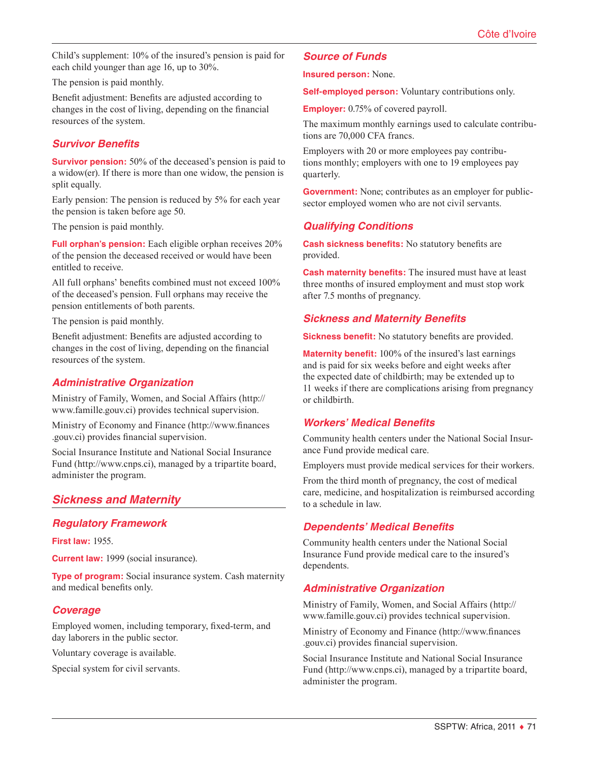Child's supplement: 10% of the insured's pension is paid for each child younger than age 16, up to 30%.

The pension is paid monthly.

Benefit adjustment: Benefits are adjusted according to changes in the cost of living, depending on the financial resources of the system.

#### *Survivor Benefits*

**Survivor pension:** 50% of the deceased's pension is paid to a widow(er). If there is more than one widow, the pension is split equally.

Early pension: The pension is reduced by 5% for each year the pension is taken before age 50.

The pension is paid monthly.

**Full orphan's pension:** Each eligible orphan receives 20% of the pension the deceased received or would have been entitled to receive.

All full orphans' benefits combined must not exceed 100% of the deceased's pension. Full orphans may receive the pension entitlements of both parents.

The pension is paid monthly.

Benefit adjustment: Benefits are adjusted according to changes in the cost of living, depending on the financial resources of the system.

#### *Administrative Organization*

Ministry of Family, Women, and Social Affairs ([http://](http://www.famille.gouv.ci) [www.famille.gouv.ci\)](http://www.famille.gouv.ci) provides technical supervision.

Ministry of Economy and Finance ([http://www.finances](http://www.finances.gouv.ci) [.gouv.ci](http://www.finances.gouv.ci)) provides financial supervision.

Social Insurance Institute and National Social Insurance Fund ([http://www.cnps.ci\)](http://www.cnps.ci), managed by a tripartite board, administer the program.

### *Sickness and Maternity*

### *Regulatory Framework*

**First law:** 1955.

**Current law:** 1999 (social insurance).

**Type of program:** Social insurance system. Cash maternity and medical benefits only.

### *Coverage*

Employed women, including temporary, fixed-term, and day laborers in the public sector.

Voluntary coverage is available.

Special system for civil servants.

#### *Source of Funds*

**Insured person:** None.

**Self-employed person:** Voluntary contributions only.

**Employer:** 0.75% of covered payroll.

The maximum monthly earnings used to calculate contributions are 70,000 CFA francs.

Employers with 20 or more employees pay contributions monthly; employers with one to 19 employees pay quarterly.

**Government:** None; contributes as an employer for publicsector employed women who are not civil servants.

#### *Qualifying Conditions*

**Cash sickness benefits:** No statutory benefits are provided.

**Cash maternity benefits:** The insured must have at least three months of insured employment and must stop work after 7.5 months of pregnancy.

#### *Sickness and Maternity Benefits*

**Sickness benefit:** No statutory benefits are provided.

**Maternity benefit:** 100% of the insured's last earnings and is paid for six weeks before and eight weeks after the expected date of childbirth; may be extended up to 11 weeks if there are complications arising from pregnancy or childbirth.

#### *Workers' Medical Benefits*

Community health centers under the National Social Insurance Fund provide medical care.

Employers must provide medical services for their workers.

From the third month of pregnancy, the cost of medical care, medicine, and hospitalization is reimbursed according to a schedule in law.

#### *Dependents' Medical Benefits*

Community health centers under the National Social Insurance Fund provide medical care to the insured's dependents.

#### *Administrative Organization*

Ministry of Family, Women, and Social Affairs ([http://](http://www.famille.gouv.ci) [www.famille.gouv.ci\)](http://www.famille.gouv.ci) provides technical supervision.

Ministry of Economy and Finance ([http://www.finances](http://www.finances.gouv.ci) [.gouv.ci](http://www.finances.gouv.ci)) provides financial supervision.

Social Insurance Institute and National Social Insurance Fund ([http://www.cnps.ci\)](http://www.cnps.ci), managed by a tripartite board, administer the program.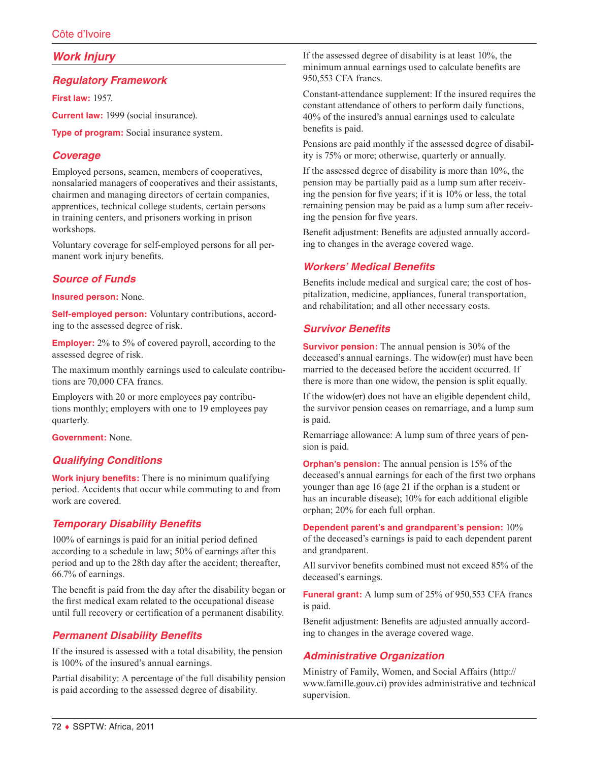# *Work Injury*

### *Regulatory Framework*

**First law:** 1957.

**Current law:** 1999 (social insurance).

**Type of program:** Social insurance system.

### *Coverage*

Employed persons, seamen, members of cooperatives, nonsalaried managers of cooperatives and their assistants, chairmen and managing directors of certain companies, apprentices, technical college students, certain persons in training centers, and prisoners working in prison workshops.

Voluntary coverage for self-employed persons for all permanent work injury benefits.

# *Source of Funds*

**Insured person:** None.

**Self-employed person:** Voluntary contributions, according to the assessed degree of risk.

**Employer:** 2% to 5% of covered payroll, according to the assessed degree of risk.

The maximum monthly earnings used to calculate contributions are 70,000 CFA francs.

Employers with 20 or more employees pay contributions monthly; employers with one to 19 employees pay quarterly.

**Government:** None.

# *Qualifying Conditions*

**Work injury benefits:** There is no minimum qualifying period. Accidents that occur while commuting to and from work are covered.

# *Temporary Disability Benefits*

100% of earnings is paid for an initial period defined according to a schedule in law; 50% of earnings after this period and up to the 28th day after the accident; thereafter, 66.7% of earnings.

The benefit is paid from the day after the disability began or the first medical exam related to the occupational disease until full recovery or certification of a permanent disability.

### *Permanent Disability Benefits*

If the insured is assessed with a total disability, the pension is 100% of the insured's annual earnings.

Partial disability: A percentage of the full disability pension is paid according to the assessed degree of disability.

If the assessed degree of disability is at least 10%, the minimum annual earnings used to calculate benefits are 950,553 CFA francs.

Constant-attendance supplement: If the insured requires the constant attendance of others to perform daily functions, 40% of the insured's annual earnings used to calculate benefits is paid.

Pensions are paid monthly if the assessed degree of disability is 75% or more; otherwise, quarterly or annually.

If the assessed degree of disability is more than 10%, the pension may be partially paid as a lump sum after receiving the pension for five years; if it is 10% or less, the total remaining pension may be paid as a lump sum after receiving the pension for five years.

Benefit adjustment: Benefits are adjusted annually according to changes in the average covered wage.

### *Workers' Medical Benefits*

Benefits include medical and surgical care; the cost of hospitalization, medicine, appliances, funeral transportation, and rehabilitation; and all other necessary costs.

# *Survivor Benefits*

**Survivor pension:** The annual pension is 30% of the deceased's annual earnings. The widow(er) must have been married to the deceased before the accident occurred. If there is more than one widow, the pension is split equally.

If the widow(er) does not have an eligible dependent child, the survivor pension ceases on remarriage, and a lump sum is paid.

Remarriage allowance: A lump sum of three years of pension is paid.

**Orphan's pension:** The annual pension is 15% of the deceased's annual earnings for each of the first two orphans younger than age 16 (age 21 if the orphan is a student or has an incurable disease); 10% for each additional eligible orphan; 20% for each full orphan.

**Dependent parent's and grandparent's pension:** 10% of the deceased's earnings is paid to each dependent parent and grandparent.

All survivor benefits combined must not exceed 85% of the deceased's earnings.

**Funeral grant:** A lump sum of 25% of 950,553 CFA francs is paid.

Benefit adjustment: Benefits are adjusted annually according to changes in the average covered wage.

# *Administrative Organization*

Ministry of Family, Women, and Social Affairs ([http://](http://www.famille.gouv.ci) [www.famille.gouv.ci\)](http://www.famille.gouv.ci) provides administrative and technical supervision.